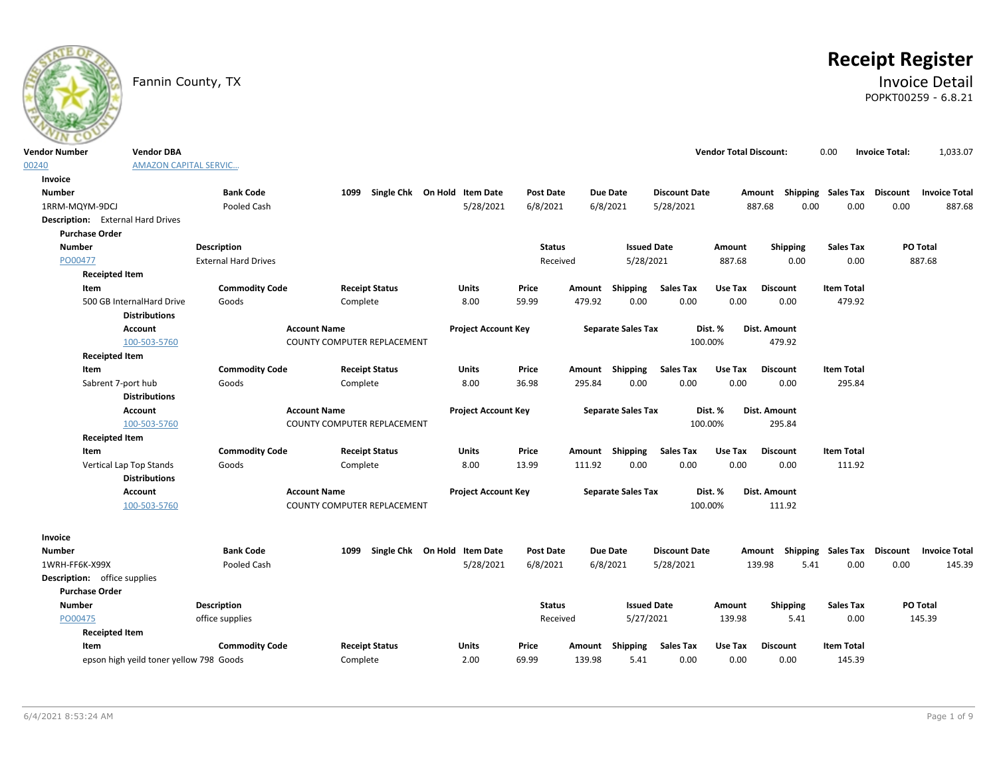

# **Receipt Register**

### Fannin County, TX **Invoice Detail** POPKT00259 - 6.8.21

| <b>Vendor Number</b>                     | <b>Vendor DBA</b>                       |                             |                             |                              |                            |                  |        |                           |                      | <b>Vendor Total Discount:</b> |                 | 0.00                        | <b>Invoice Total:</b> | 1,033.07             |
|------------------------------------------|-----------------------------------------|-----------------------------|-----------------------------|------------------------------|----------------------------|------------------|--------|---------------------------|----------------------|-------------------------------|-----------------|-----------------------------|-----------------------|----------------------|
| 00240                                    | <b>AMAZON CAPITAL SERVIC</b>            |                             |                             |                              |                            |                  |        |                           |                      |                               |                 |                             |                       |                      |
| Invoice                                  |                                         |                             |                             |                              |                            |                  |        |                           |                      |                               |                 |                             |                       |                      |
| <b>Number</b>                            |                                         | <b>Bank Code</b>            | 1099                        | Single Chk On Hold Item Date |                            | <b>Post Date</b> |        | <b>Due Date</b>           | <b>Discount Date</b> |                               | Amount          | Shipping Sales Tax Discount |                       | <b>Invoice Total</b> |
| 1RRM-MQYM-9DCJ                           |                                         | Pooled Cash                 |                             |                              | 5/28/2021                  | 6/8/2021         |        | 6/8/2021                  | 5/28/2021            |                               | 0.00<br>887.68  | 0.00                        | 0.00                  | 887.68               |
| <b>Description:</b> External Hard Drives |                                         |                             |                             |                              |                            |                  |        |                           |                      |                               |                 |                             |                       |                      |
| <b>Purchase Order</b>                    |                                         |                             |                             |                              |                            |                  |        |                           |                      |                               |                 |                             |                       |                      |
| <b>Number</b>                            |                                         | Description                 |                             |                              |                            | <b>Status</b>    |        | <b>Issued Date</b>        |                      | Amount                        | Shipping        | <b>Sales Tax</b>            |                       | PO Total             |
| PO00477                                  |                                         | <b>External Hard Drives</b> |                             |                              |                            | Received         |        | 5/28/2021                 |                      | 887.68                        | 0.00            | 0.00                        |                       | 887.68               |
| <b>Receipted Item</b>                    |                                         |                             |                             |                              |                            |                  |        |                           |                      |                               |                 |                             |                       |                      |
| Item                                     |                                         | <b>Commodity Code</b>       |                             | <b>Receipt Status</b>        | Units                      | Price            |        | Amount Shipping           | <b>Sales Tax</b>     | Use Tax                       | <b>Discount</b> | <b>Item Total</b>           |                       |                      |
|                                          | 500 GB InternalHard Drive               | Goods                       | Complete                    |                              | 8.00                       | 59.99            | 479.92 | 0.00                      | 0.00                 | 0.00                          | 0.00            | 479.92                      |                       |                      |
|                                          | <b>Distributions</b>                    |                             |                             |                              |                            |                  |        |                           |                      |                               |                 |                             |                       |                      |
|                                          | Account                                 |                             | <b>Account Name</b>         |                              | <b>Project Account Key</b> |                  |        | <b>Separate Sales Tax</b> |                      | Dist. %                       | Dist. Amount    |                             |                       |                      |
|                                          | 100-503-5760                            |                             | COUNTY COMPUTER REPLACEMENT |                              |                            |                  |        |                           | 100.00%              |                               | 479.92          |                             |                       |                      |
| <b>Receipted Item</b>                    |                                         |                             |                             |                              |                            |                  |        |                           |                      |                               |                 |                             |                       |                      |
| Item                                     |                                         | <b>Commodity Code</b>       |                             | <b>Receipt Status</b>        | Units                      | Price            |        | Amount Shipping           | <b>Sales Tax</b>     | Use Tax                       | <b>Discount</b> | <b>Item Total</b>           |                       |                      |
|                                          | Sabrent 7-port hub                      | Goods                       | Complete                    |                              | 8.00                       | 36.98            | 295.84 | 0.00                      | 0.00                 | 0.00                          | 0.00            | 295.84                      |                       |                      |
|                                          | <b>Distributions</b>                    |                             |                             |                              |                            |                  |        |                           |                      |                               |                 |                             |                       |                      |
|                                          | Account                                 |                             | <b>Account Name</b>         |                              | <b>Project Account Key</b> |                  |        | <b>Separate Sales Tax</b> |                      | Dist. %                       | Dist. Amount    |                             |                       |                      |
|                                          | 100-503-5760                            |                             | COUNTY COMPUTER REPLACEMENT |                              |                            |                  |        |                           | 100.00%              |                               | 295.84          |                             |                       |                      |
| <b>Receipted Item</b>                    |                                         |                             |                             |                              |                            |                  |        |                           |                      |                               |                 |                             |                       |                      |
| Item                                     |                                         | <b>Commodity Code</b>       |                             | <b>Receipt Status</b>        | Units                      | Price            |        | Amount Shipping           | <b>Sales Tax</b>     | Use Tax                       | <b>Discount</b> | <b>Item Total</b>           |                       |                      |
|                                          | Vertical Lap Top Stands                 | Goods                       | Complete                    |                              | 8.00                       | 13.99            | 111.92 | 0.00                      | 0.00                 | 0.00                          | 0.00            | 111.92                      |                       |                      |
|                                          | <b>Distributions</b>                    |                             |                             |                              |                            |                  |        |                           |                      |                               |                 |                             |                       |                      |
|                                          | Account                                 |                             | <b>Account Name</b>         |                              | <b>Project Account Key</b> |                  |        | <b>Separate Sales Tax</b> |                      | Dist. %                       | Dist. Amount    |                             |                       |                      |
|                                          | 100-503-5760                            |                             | COUNTY COMPUTER REPLACEMENT |                              |                            |                  |        |                           | 100.00%              |                               | 111.92          |                             |                       |                      |
| Invoice                                  |                                         |                             |                             |                              |                            |                  |        |                           |                      |                               |                 |                             |                       |                      |
| <b>Number</b>                            |                                         | <b>Bank Code</b>            | 1099                        | Single Chk On Hold Item Date |                            | <b>Post Date</b> |        | <b>Due Date</b>           | <b>Discount Date</b> |                               | Amount          | Shipping Sales Tax          | <b>Discount</b>       | <b>Invoice Total</b> |
| 1WRH-FF6K-X99X                           |                                         | Pooled Cash                 |                             |                              | 5/28/2021                  | 6/8/2021         |        | 6/8/2021                  | 5/28/2021            |                               | 5.41<br>139.98  | 0.00                        | 0.00                  | 145.39               |
| <b>Description:</b> office supplies      |                                         |                             |                             |                              |                            |                  |        |                           |                      |                               |                 |                             |                       |                      |
| <b>Purchase Order</b>                    |                                         |                             |                             |                              |                            |                  |        |                           |                      |                               |                 |                             |                       |                      |
| <b>Number</b>                            |                                         | <b>Description</b>          |                             |                              |                            | <b>Status</b>    |        | <b>Issued Date</b>        |                      | Amount                        | Shipping        | <b>Sales Tax</b>            |                       | PO Total             |
| PO00475                                  |                                         | office supplies             |                             |                              |                            | Received         |        | 5/27/2021                 |                      | 139.98                        | 5.41            | 0.00                        |                       | 145.39               |
| <b>Receipted Item</b>                    |                                         |                             |                             |                              |                            |                  |        |                           |                      |                               |                 |                             |                       |                      |
| Item                                     |                                         | <b>Commodity Code</b>       |                             | <b>Receipt Status</b>        | Units                      | Price            | Amount | Shipping                  | <b>Sales Tax</b>     | Use Tax                       | <b>Discount</b> | <b>Item Total</b>           |                       |                      |
|                                          | epson high yeild toner yellow 798 Goods |                             | Complete                    |                              | 2.00                       | 69.99            | 139.98 | 5.41                      | 0.00                 | 0.00                          | 0.00            | 145.39                      |                       |                      |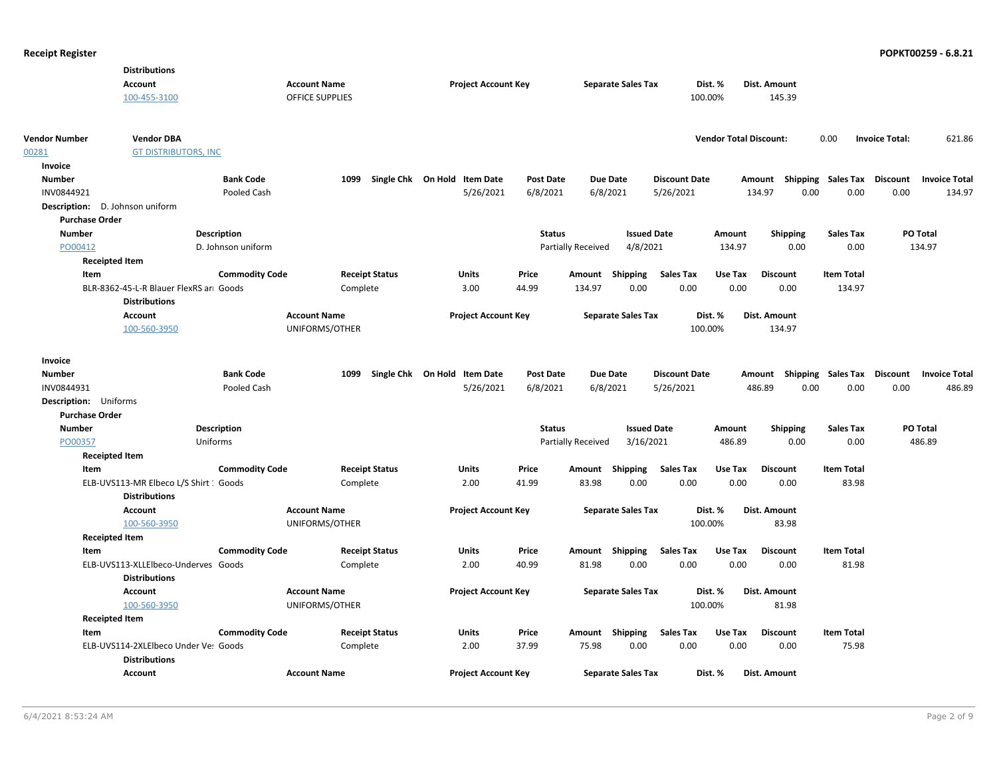|                                 | <b>Distributions</b>                                           |                       |                        |                       |                              |                  |                           |                           |                      |                               |                 |                                    |                       |                      |
|---------------------------------|----------------------------------------------------------------|-----------------------|------------------------|-----------------------|------------------------------|------------------|---------------------------|---------------------------|----------------------|-------------------------------|-----------------|------------------------------------|-----------------------|----------------------|
|                                 | <b>Account</b>                                                 |                       | <b>Account Name</b>    |                       | <b>Project Account Key</b>   |                  |                           | <b>Separate Sales Tax</b> |                      | Dist. %                       | Dist. Amount    |                                    |                       |                      |
|                                 | 100-455-3100                                                   |                       | <b>OFFICE SUPPLIES</b> |                       |                              |                  |                           |                           |                      | 100.00%                       | 145.39          |                                    |                       |                      |
|                                 |                                                                |                       |                        |                       |                              |                  |                           |                           |                      |                               |                 |                                    |                       |                      |
| <b>Vendor Number</b>            | <b>Vendor DBA</b>                                              |                       |                        |                       |                              |                  |                           |                           |                      | <b>Vendor Total Discount:</b> |                 | 0.00                               | <b>Invoice Total:</b> | 621.86               |
| 00281                           | <b>GT DISTRIBUTORS, INC</b>                                    |                       |                        |                       |                              |                  |                           |                           |                      |                               |                 |                                    |                       |                      |
| Invoice                         |                                                                |                       |                        |                       |                              |                  |                           |                           |                      |                               |                 |                                    |                       |                      |
| <b>Number</b>                   |                                                                | <b>Bank Code</b>      | 1099                   |                       | Single Chk On Hold Item Date | <b>Post Date</b> |                           | <b>Due Date</b>           | <b>Discount Date</b> |                               |                 | Amount Shipping Sales Tax          | Discount              | <b>Invoice Total</b> |
| INV0844921                      |                                                                | Pooled Cash           |                        |                       | 5/26/2021                    | 6/8/2021         |                           | 6/8/2021                  | 5/26/2021            |                               | 134.97          | 0.00<br>0.00                       | 0.00                  | 134.97               |
| Description: D. Johnson uniform |                                                                |                       |                        |                       |                              |                  |                           |                           |                      |                               |                 |                                    |                       |                      |
| <b>Purchase Order</b>           |                                                                |                       |                        |                       |                              |                  |                           |                           |                      |                               |                 |                                    |                       |                      |
| <b>Number</b>                   |                                                                | Description           |                        |                       |                              | <b>Status</b>    |                           | <b>Issued Date</b>        |                      | Amount                        | <b>Shipping</b> | <b>Sales Tax</b>                   | PO Total              |                      |
| PO00412                         |                                                                | D. Johnson uniform    |                        |                       |                              |                  | <b>Partially Received</b> | 4/8/2021                  |                      | 134.97                        | 0.00            | 0.00                               | 134.97                |                      |
| <b>Receipted Item</b>           |                                                                |                       |                        |                       |                              |                  |                           |                           |                      |                               |                 |                                    |                       |                      |
| Item                            |                                                                | <b>Commodity Code</b> |                        | <b>Receipt Status</b> | <b>Units</b>                 | Price            |                           | Amount Shipping           | Sales Tax            | Use Tax                       | <b>Discount</b> | <b>Item Total</b>                  |                       |                      |
|                                 | BLR-8362-45-L-R Blauer FlexRS ar Goods<br><b>Distributions</b> |                       |                        | Complete              | 3.00                         | 44.99            | 134.97                    | 0.00                      | 0.00                 | 0.00                          | 0.00            | 134.97                             |                       |                      |
|                                 | <b>Account</b>                                                 |                       | <b>Account Name</b>    |                       | <b>Project Account Key</b>   |                  |                           | <b>Separate Sales Tax</b> |                      | Dist. %                       | Dist. Amount    |                                    |                       |                      |
|                                 | 100-560-3950                                                   |                       | UNIFORMS/OTHER         |                       |                              |                  |                           |                           |                      | 100.00%                       | 134.97          |                                    |                       |                      |
|                                 |                                                                |                       |                        |                       |                              |                  |                           |                           |                      |                               |                 |                                    |                       |                      |
| Invoice                         |                                                                |                       |                        |                       |                              |                  |                           |                           |                      |                               |                 |                                    |                       |                      |
| <b>Number</b>                   |                                                                | <b>Bank Code</b>      | 1099                   |                       | Single Chk On Hold Item Date | <b>Post Date</b> |                           | <b>Due Date</b>           | <b>Discount Date</b> |                               |                 | Amount Shipping Sales Tax Discount |                       | <b>Invoice Total</b> |
| INV0844931                      |                                                                | Pooled Cash           |                        |                       | 5/26/2021                    | 6/8/2021         |                           | 6/8/2021                  | 5/26/2021            |                               | 486.89          | 0.00<br>0.00                       | 0.00                  | 486.89               |
| Description: Uniforms           |                                                                |                       |                        |                       |                              |                  |                           |                           |                      |                               |                 |                                    |                       |                      |
| <b>Purchase Order</b>           |                                                                |                       |                        |                       |                              |                  |                           |                           |                      |                               |                 |                                    |                       |                      |
| <b>Number</b>                   |                                                                | <b>Description</b>    |                        |                       |                              | <b>Status</b>    |                           | <b>Issued Date</b>        |                      | Amount                        | <b>Shipping</b> | <b>Sales Tax</b>                   | <b>PO Total</b>       |                      |
| PO00357                         |                                                                | Uniforms              |                        |                       |                              |                  | <b>Partially Received</b> | 3/16/2021                 |                      | 486.89                        | 0.00            | 0.00                               | 486.89                |                      |
| <b>Receipted Item</b>           |                                                                |                       |                        |                       |                              |                  |                           |                           |                      |                               |                 |                                    |                       |                      |
| Item                            |                                                                | <b>Commodity Code</b> |                        | <b>Receipt Status</b> | <b>Units</b>                 | Price            |                           | Amount Shipping           | <b>Sales Tax</b>     | Use Tax                       | <b>Discount</b> | <b>Item Total</b>                  |                       |                      |
|                                 | ELB-UVS113-MR Elbeco L/S Shirt : Goods<br><b>Distributions</b> |                       |                        | Complete              | 2.00                         | 41.99            | 83.98                     | 0.00                      | 0.00                 | 0.00                          | 0.00            | 83.98                              |                       |                      |
|                                 | <b>Account</b>                                                 |                       | <b>Account Name</b>    |                       | <b>Project Account Key</b>   |                  |                           | <b>Separate Sales Tax</b> |                      | Dist. %                       | Dist. Amount    |                                    |                       |                      |
|                                 | 100-560-3950                                                   |                       | UNIFORMS/OTHER         |                       |                              |                  |                           |                           |                      | 100.00%                       | 83.98           |                                    |                       |                      |
| <b>Receipted Item</b>           |                                                                |                       |                        |                       |                              |                  |                           |                           |                      |                               |                 |                                    |                       |                      |
| Item                            |                                                                | <b>Commodity Code</b> |                        | <b>Receipt Status</b> | Units                        | Price            |                           | Amount Shipping           | Sales Tax            | Use Tax                       | <b>Discount</b> | <b>Item Total</b>                  |                       |                      |
|                                 | ELB-UVS113-XLLElbeco-Underves Goods                            |                       |                        | Complete              | 2.00                         | 40.99            | 81.98                     | 0.00                      | 0.00                 | 0.00                          | 0.00            | 81.98                              |                       |                      |
|                                 | <b>Distributions</b>                                           |                       |                        |                       |                              |                  |                           |                           |                      |                               |                 |                                    |                       |                      |
|                                 | <b>Account</b>                                                 |                       | <b>Account Name</b>    |                       | <b>Project Account Key</b>   |                  |                           | <b>Separate Sales Tax</b> |                      | Dist. %                       | Dist. Amount    |                                    |                       |                      |
|                                 | 100-560-3950                                                   |                       | UNIFORMS/OTHER         |                       |                              |                  |                           |                           |                      | 100.00%                       | 81.98           |                                    |                       |                      |
| <b>Receipted Item</b>           |                                                                |                       |                        |                       |                              |                  |                           |                           |                      |                               |                 |                                    |                       |                      |
| Item                            |                                                                | <b>Commodity Code</b> |                        | <b>Receipt Status</b> | <b>Units</b>                 | Price            |                           | Amount Shipping           | Sales Tax            | Use Tax                       | <b>Discount</b> | <b>Item Total</b>                  |                       |                      |
|                                 | ELB-UVS114-2XLEIbeco Under Ve: Goods                           |                       |                        | Complete              | 2.00                         | 37.99            | 75.98                     | 0.00                      | 0.00                 | 0.00                          | 0.00            | 75.98                              |                       |                      |
|                                 | <b>Distributions</b>                                           |                       |                        |                       |                              |                  |                           |                           |                      |                               |                 |                                    |                       |                      |
|                                 | <b>Account</b>                                                 |                       | <b>Account Name</b>    |                       | <b>Project Account Key</b>   |                  |                           | <b>Separate Sales Tax</b> |                      | Dist. %                       | Dist. Amount    |                                    |                       |                      |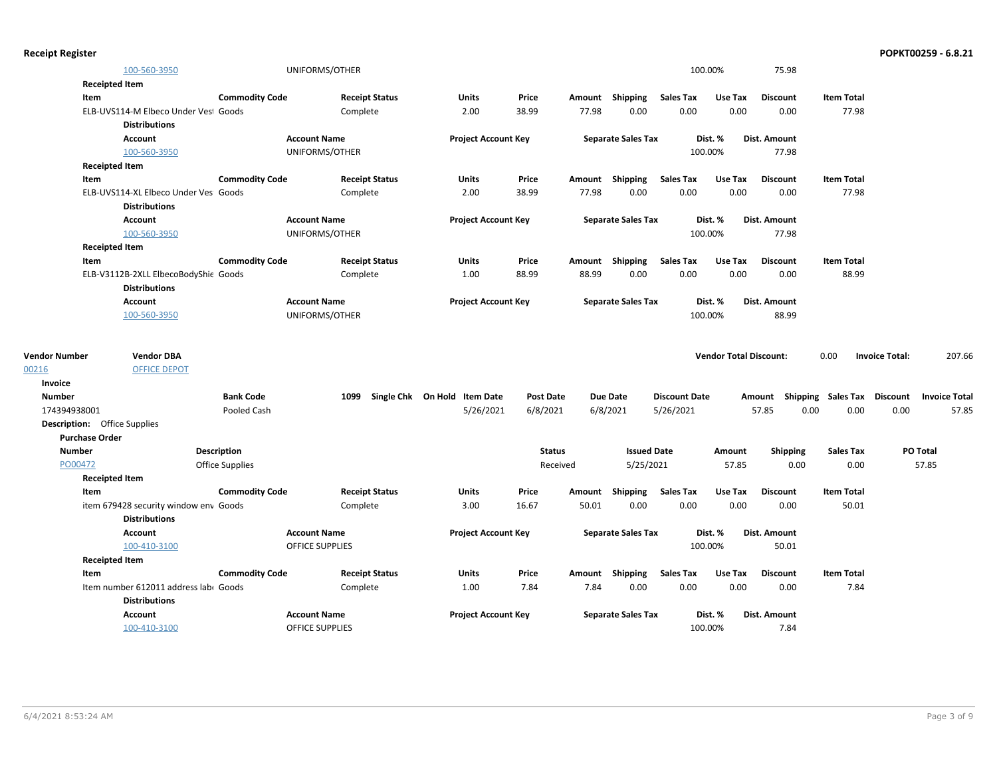| <b>Receipt Register</b>             |                                       |                       |                        |                       |                                   |                  |       |                           |                      |                               |                     |                                    |                       | POPKT00259 - 6.8.21  |
|-------------------------------------|---------------------------------------|-----------------------|------------------------|-----------------------|-----------------------------------|------------------|-------|---------------------------|----------------------|-------------------------------|---------------------|------------------------------------|-----------------------|----------------------|
|                                     | 100-560-3950                          |                       | UNIFORMS/OTHER         |                       |                                   |                  |       |                           |                      | 100.00%                       | 75.98               |                                    |                       |                      |
| <b>Receipted Item</b>               |                                       |                       |                        |                       |                                   |                  |       |                           |                      |                               |                     |                                    |                       |                      |
| Item                                |                                       | <b>Commodity Code</b> |                        | <b>Receipt Status</b> | <b>Units</b>                      | Price            |       | Amount Shipping           | <b>Sales Tax</b>     | Use Tax                       | <b>Discount</b>     | <b>Item Total</b>                  |                       |                      |
|                                     | ELB-UVS114-M Elbeco Under Vest Goods  |                       |                        | Complete              | 2.00                              | 38.99            | 77.98 | 0.00                      | 0.00                 | 0.00                          | 0.00                | 77.98                              |                       |                      |
|                                     | <b>Distributions</b>                  |                       |                        |                       |                                   |                  |       |                           |                      |                               |                     |                                    |                       |                      |
|                                     | <b>Account</b>                        |                       | <b>Account Name</b>    |                       | <b>Project Account Key</b>        |                  |       | <b>Separate Sales Tax</b> |                      | Dist. %                       | Dist. Amount        |                                    |                       |                      |
|                                     | 100-560-3950                          |                       | UNIFORMS/OTHER         |                       |                                   |                  |       |                           |                      | 100.00%                       | 77.98               |                                    |                       |                      |
| <b>Receipted Item</b>               |                                       |                       |                        |                       |                                   |                  |       |                           |                      |                               |                     |                                    |                       |                      |
| Item                                |                                       | <b>Commodity Code</b> |                        | <b>Receipt Status</b> | <b>Units</b>                      | Price            |       | Amount Shipping           | Sales Tax            | Use Tax                       | <b>Discount</b>     | <b>Item Total</b>                  |                       |                      |
|                                     | ELB-UVS114-XL Elbeco Under Ves Goods  |                       |                        | Complete              | 2.00                              | 38.99            | 77.98 | 0.00                      | 0.00                 | 0.00                          | 0.00                | 77.98                              |                       |                      |
|                                     | <b>Distributions</b>                  |                       |                        |                       |                                   |                  |       |                           |                      |                               |                     |                                    |                       |                      |
|                                     | Account                               |                       | <b>Account Name</b>    |                       | <b>Project Account Key</b>        |                  |       | <b>Separate Sales Tax</b> |                      | Dist. %                       | Dist. Amount        |                                    |                       |                      |
|                                     | 100-560-3950                          |                       | UNIFORMS/OTHER         |                       |                                   |                  |       |                           |                      | 100.00%                       | 77.98               |                                    |                       |                      |
| <b>Receipted Item</b>               |                                       |                       |                        |                       |                                   |                  |       |                           |                      |                               |                     |                                    |                       |                      |
| Item                                |                                       | <b>Commodity Code</b> |                        | <b>Receipt Status</b> | Units                             | Price            |       | Amount Shipping           | <b>Sales Tax</b>     | Use Tax                       | <b>Discount</b>     | <b>Item Total</b>                  |                       |                      |
|                                     | ELB-V3112B-2XLL ElbecoBodyShie Goods  |                       |                        | Complete              | 1.00                              | 88.99            | 88.99 | 0.00                      | 0.00                 | 0.00                          | 0.00                | 88.99                              |                       |                      |
|                                     | <b>Distributions</b>                  |                       |                        |                       |                                   |                  |       |                           |                      |                               |                     |                                    |                       |                      |
|                                     | <b>Account</b>                        |                       | <b>Account Name</b>    |                       | <b>Project Account Key</b>        |                  |       | <b>Separate Sales Tax</b> |                      | Dist. %                       | Dist. Amount        |                                    |                       |                      |
|                                     | 100-560-3950                          |                       | UNIFORMS/OTHER         |                       |                                   |                  |       |                           |                      | 100.00%                       | 88.99               |                                    |                       |                      |
| <b>Vendor Number</b>                | <b>Vendor DBA</b>                     |                       |                        |                       |                                   |                  |       |                           |                      | <b>Vendor Total Discount:</b> |                     | 0.00                               | <b>Invoice Total:</b> | 207.66               |
| 00216                               | <b>OFFICE DEPOT</b>                   |                       |                        |                       |                                   |                  |       |                           |                      |                               |                     |                                    |                       |                      |
| Invoice                             |                                       |                       |                        |                       |                                   |                  |       |                           |                      |                               |                     |                                    |                       |                      |
| <b>Number</b>                       |                                       | <b>Bank Code</b>      |                        |                       | 1099 Single Chk On Hold Item Date | <b>Post Date</b> |       | <b>Due Date</b>           | <b>Discount Date</b> |                               |                     | Amount Shipping Sales Tax Discount |                       | <b>Invoice Total</b> |
| 174394938001                        |                                       | Pooled Cash           |                        |                       | 5/26/2021                         | 6/8/2021         |       | 6/8/2021                  | 5/26/2021            |                               | 57.85               | 0.00<br>0.00                       | 0.00                  | 57.85                |
| <b>Description:</b> Office Supplies |                                       |                       |                        |                       |                                   |                  |       |                           |                      |                               |                     |                                    |                       |                      |
| <b>Purchase Order</b>               |                                       |                       |                        |                       |                                   |                  |       |                           |                      |                               |                     |                                    |                       |                      |
| <b>Number</b>                       |                                       | <b>Description</b>    |                        |                       |                                   | <b>Status</b>    |       | <b>Issued Date</b>        |                      | Amount                        | <b>Shipping</b>     | <b>Sales Tax</b>                   |                       | PO Total             |
| PO00472                             |                                       | Office Supplies       |                        |                       |                                   | Received         |       | 5/25/2021                 |                      | 57.85                         | 0.00                | 0.00                               |                       | 57.85                |
| <b>Receipted Item</b>               |                                       |                       |                        |                       |                                   |                  |       |                           |                      |                               |                     |                                    |                       |                      |
| Item                                |                                       | <b>Commodity Code</b> |                        | <b>Receipt Status</b> | <b>Units</b>                      | Price            |       | Amount Shipping           | <b>Sales Tax</b>     | Use Tax                       | <b>Discount</b>     | <b>Item Total</b>                  |                       |                      |
|                                     | item 679428 security window env Goods |                       |                        | Complete              | 3.00                              | 16.67            | 50.01 | 0.00                      | 0.00                 | 0.00                          | 0.00                | 50.01                              |                       |                      |
|                                     | <b>Distributions</b>                  |                       |                        |                       |                                   |                  |       |                           |                      |                               |                     |                                    |                       |                      |
|                                     | Account                               |                       | <b>Account Name</b>    |                       | <b>Project Account Key</b>        |                  |       | <b>Separate Sales Tax</b> |                      | Dist. %                       | Dist. Amount        |                                    |                       |                      |
|                                     | 100-410-3100                          |                       | <b>OFFICE SUPPLIES</b> |                       |                                   |                  |       |                           |                      | 100.00%                       | 50.01               |                                    |                       |                      |
| <b>Receipted Item</b>               |                                       |                       |                        |                       |                                   |                  |       |                           |                      |                               |                     |                                    |                       |                      |
| Item                                |                                       | <b>Commodity Code</b> |                        | <b>Receipt Status</b> | Units                             | Price            |       | Amount Shipping           | <b>Sales Tax</b>     | Use Tax                       | <b>Discount</b>     | <b>Item Total</b>                  |                       |                      |
|                                     | Item number 612011 address labi Goods |                       |                        | Complete              | 1.00                              | 7.84             | 7.84  | 0.00                      | 0.00                 | 0.00                          | 0.00                | 7.84                               |                       |                      |
|                                     | <b>Distributions</b>                  |                       |                        |                       |                                   |                  |       |                           |                      |                               |                     |                                    |                       |                      |
|                                     | <b>Account</b>                        |                       | <b>Account Name</b>    |                       | <b>Project Account Key</b>        |                  |       | <b>Separate Sales Tax</b> |                      | Dist. %                       | <b>Dist. Amount</b> |                                    |                       |                      |
|                                     | 100-410-3100                          |                       | <b>OFFICE SUPPLIES</b> |                       |                                   |                  |       |                           |                      | 100.00%                       | 7.84                |                                    |                       |                      |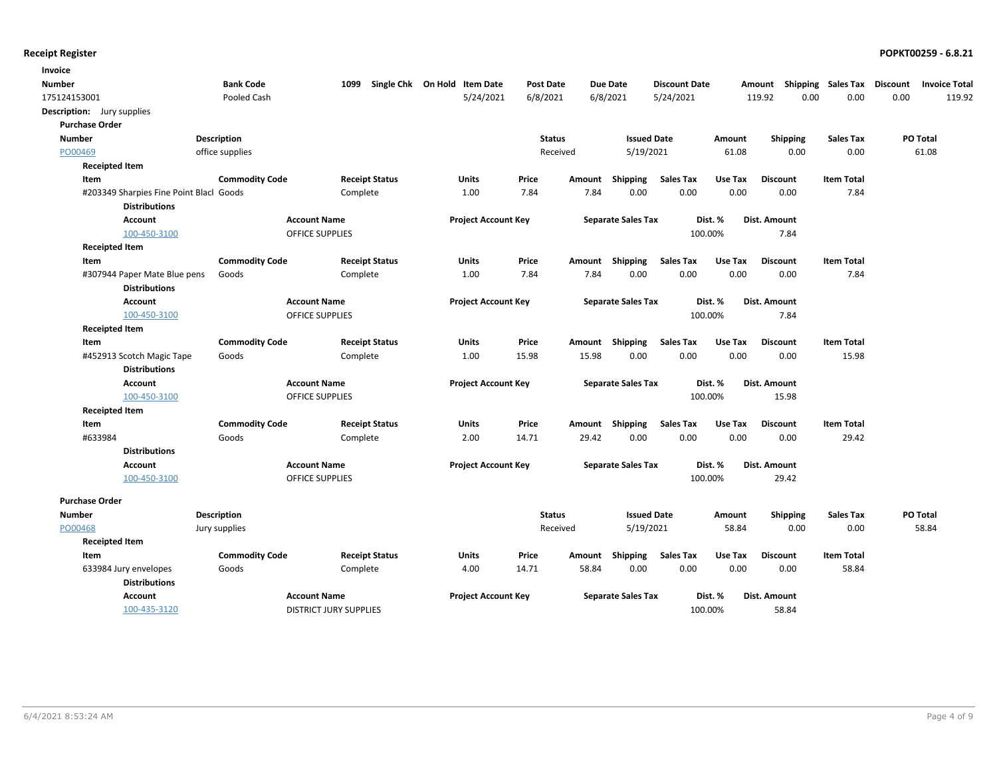| Invoice                           |                                                                 |                       |                               |                              |                  |        |                           |                      |         |                 |                             |                      |
|-----------------------------------|-----------------------------------------------------------------|-----------------------|-------------------------------|------------------------------|------------------|--------|---------------------------|----------------------|---------|-----------------|-----------------------------|----------------------|
| <b>Number</b>                     |                                                                 | <b>Bank Code</b>      | 1099                          | Single Chk On Hold Item Date | <b>Post Date</b> |        | <b>Due Date</b>           | <b>Discount Date</b> |         | Amount          | Shipping Sales Tax Discount | <b>Invoice Total</b> |
| 175124153001                      |                                                                 | Pooled Cash           |                               | 5/24/2021                    | 6/8/2021         |        | 6/8/2021                  | 5/24/2021            |         | 0.00<br>119.92  | 0.00                        | 0.00<br>119.92       |
| <b>Description:</b> Jury supplies |                                                                 |                       |                               |                              |                  |        |                           |                      |         |                 |                             |                      |
| <b>Purchase Order</b>             |                                                                 |                       |                               |                              |                  |        |                           |                      |         |                 |                             |                      |
| <b>Number</b>                     |                                                                 | Description           |                               |                              | <b>Status</b>    |        | <b>Issued Date</b>        |                      | Amount  | Shipping        | <b>Sales Tax</b>            | PO Total             |
| PO00469                           |                                                                 | office supplies       |                               |                              | Received         |        | 5/19/2021                 |                      | 61.08   | 0.00            | 0.00                        | 61.08                |
| <b>Receipted Item</b>             |                                                                 |                       |                               |                              |                  |        |                           |                      |         |                 |                             |                      |
| Item                              |                                                                 | <b>Commodity Code</b> | <b>Receipt Status</b>         | Units                        | Price            | Amount | Shipping                  | <b>Sales Tax</b>     | Use Tax | <b>Discount</b> | <b>Item Total</b>           |                      |
|                                   | #203349 Sharpies Fine Point Blacl Goods<br><b>Distributions</b> |                       | Complete                      | 1.00                         | 7.84             | 7.84   | 0.00                      | 0.00                 | 0.00    | 0.00            | 7.84                        |                      |
|                                   | <b>Account</b>                                                  |                       | <b>Account Name</b>           | <b>Project Account Key</b>   |                  |        | <b>Separate Sales Tax</b> |                      | Dist. % | Dist. Amount    |                             |                      |
|                                   | 100-450-3100                                                    |                       | <b>OFFICE SUPPLIES</b>        |                              |                  |        |                           |                      | 100.00% | 7.84            |                             |                      |
| <b>Receipted Item</b>             |                                                                 |                       |                               |                              |                  |        |                           |                      |         |                 |                             |                      |
| Item                              |                                                                 | <b>Commodity Code</b> | <b>Receipt Status</b>         | Units                        | Price            | Amount | Shipping                  | <b>Sales Tax</b>     | Use Tax | <b>Discount</b> | <b>Item Total</b>           |                      |
|                                   | #307944 Paper Mate Blue pens<br><b>Distributions</b>            | Goods                 | Complete                      | 1.00                         | 7.84             | 7.84   | 0.00                      | 0.00                 | 0.00    | 0.00            | 7.84                        |                      |
|                                   | <b>Account</b>                                                  |                       | <b>Account Name</b>           | <b>Project Account Key</b>   |                  |        | <b>Separate Sales Tax</b> |                      | Dist. % | Dist. Amount    |                             |                      |
|                                   | 100-450-3100                                                    |                       | <b>OFFICE SUPPLIES</b>        |                              |                  |        |                           |                      | 100.00% | 7.84            |                             |                      |
| <b>Receipted Item</b>             |                                                                 |                       |                               |                              |                  |        |                           |                      |         |                 |                             |                      |
| Item                              |                                                                 | <b>Commodity Code</b> | <b>Receipt Status</b>         | Units                        | Price            |        | Amount Shipping           | <b>Sales Tax</b>     | Use Tax | <b>Discount</b> | <b>Item Total</b>           |                      |
|                                   | #452913 Scotch Magic Tape                                       | Goods                 | Complete                      | 1.00                         | 15.98            | 15.98  | 0.00                      | 0.00                 | 0.00    | 0.00            | 15.98                       |                      |
|                                   | <b>Distributions</b>                                            |                       |                               |                              |                  |        |                           |                      |         |                 |                             |                      |
|                                   | <b>Account</b>                                                  |                       | <b>Account Name</b>           | <b>Project Account Key</b>   |                  |        | <b>Separate Sales Tax</b> |                      | Dist. % | Dist. Amount    |                             |                      |
|                                   | 100-450-3100                                                    |                       | <b>OFFICE SUPPLIES</b>        |                              |                  |        |                           |                      | 100.00% | 15.98           |                             |                      |
| <b>Receipted Item</b>             |                                                                 |                       |                               |                              |                  |        |                           |                      |         |                 |                             |                      |
| Item                              |                                                                 | <b>Commodity Code</b> | <b>Receipt Status</b>         | Units                        | Price            | Amount | Shipping                  | <b>Sales Tax</b>     | Use Tax | <b>Discount</b> | <b>Item Total</b>           |                      |
| #633984                           |                                                                 | Goods                 | Complete                      | 2.00                         | 14.71            | 29.42  | 0.00                      | 0.00                 | 0.00    | 0.00            | 29.42                       |                      |
|                                   | <b>Distributions</b>                                            |                       |                               |                              |                  |        |                           |                      |         |                 |                             |                      |
|                                   | <b>Account</b>                                                  |                       | <b>Account Name</b>           | <b>Project Account Key</b>   |                  |        | <b>Separate Sales Tax</b> |                      | Dist. % | Dist. Amount    |                             |                      |
|                                   | 100-450-3100                                                    |                       | <b>OFFICE SUPPLIES</b>        |                              |                  |        |                           |                      | 100.00% | 29.42           |                             |                      |
| <b>Purchase Order</b>             |                                                                 |                       |                               |                              |                  |        |                           |                      |         |                 |                             |                      |
| <b>Number</b>                     |                                                                 | Description           |                               |                              | <b>Status</b>    |        | <b>Issued Date</b>        |                      | Amount  | <b>Shipping</b> | <b>Sales Tax</b>            | PO Total             |
| PO00468                           |                                                                 | Jury supplies         |                               |                              | Received         |        | 5/19/2021                 |                      | 58.84   | 0.00            | 0.00                        | 58.84                |
| <b>Receipted Item</b>             |                                                                 |                       |                               |                              |                  |        |                           |                      |         |                 |                             |                      |
| Item                              |                                                                 | <b>Commodity Code</b> | <b>Receipt Status</b>         | <b>Units</b>                 | Price            | Amount | Shipping                  | <b>Sales Tax</b>     | Use Tax | <b>Discount</b> | <b>Item Total</b>           |                      |
| 633984 Jury envelopes             |                                                                 | Goods                 | Complete                      | 4.00                         | 14.71            | 58.84  | 0.00                      | 0.00                 | 0.00    | 0.00            | 58.84                       |                      |
|                                   | <b>Distributions</b>                                            |                       |                               |                              |                  |        |                           |                      |         |                 |                             |                      |
|                                   | <b>Account</b>                                                  |                       | <b>Account Name</b>           | <b>Project Account Key</b>   |                  |        | <b>Separate Sales Tax</b> |                      | Dist. % | Dist. Amount    |                             |                      |
|                                   | 100-435-3120                                                    |                       | <b>DISTRICT JURY SUPPLIES</b> |                              |                  |        |                           |                      | 100.00% | 58.84           |                             |                      |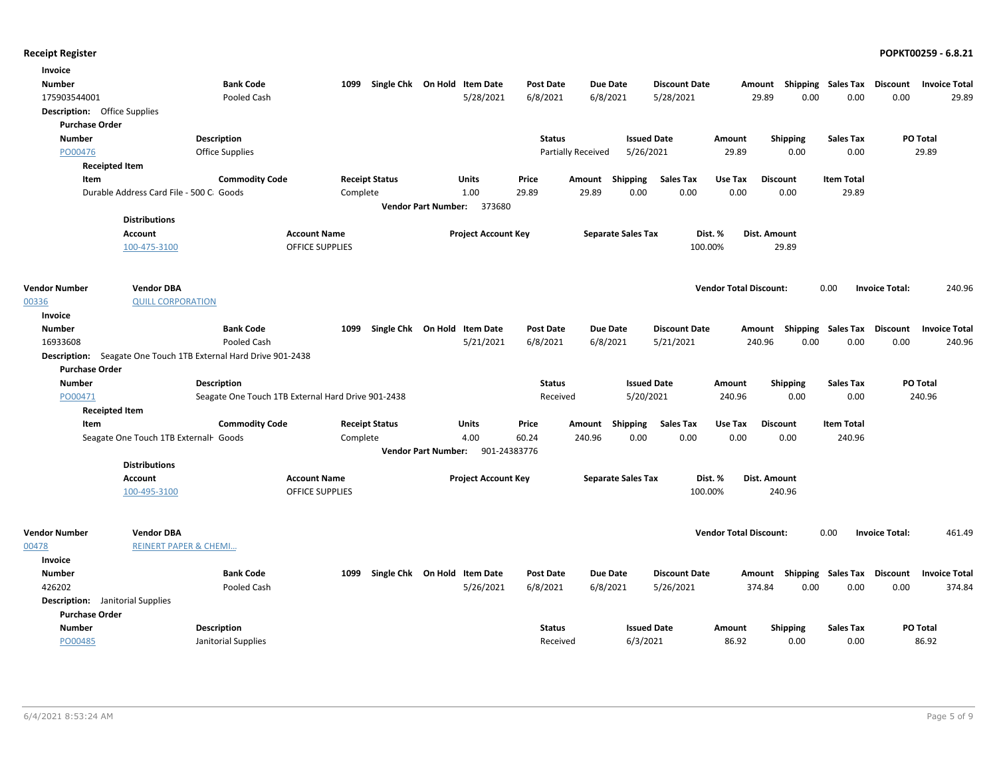| Invoice                                 |                                          |                                                    |                        |                       |                              |                            |                    |                           |                      |                               |                           |                           |                       |                      |
|-----------------------------------------|------------------------------------------|----------------------------------------------------|------------------------|-----------------------|------------------------------|----------------------------|--------------------|---------------------------|----------------------|-------------------------------|---------------------------|---------------------------|-----------------------|----------------------|
| <b>Number</b>                           |                                          | <b>Bank Code</b>                                   | 1099                   |                       | Single Chk On Hold Item Date |                            | <b>Post Date</b>   | Due Date                  | <b>Discount Date</b> | Amount                        |                           | <b>Shipping Sales Tax</b> | <b>Discount</b>       | <b>Invoice Total</b> |
| 175903544001                            |                                          | Pooled Cash                                        |                        |                       |                              | 5/28/2021                  | 6/8/2021           | 6/8/2021                  | 5/28/2021            | 29.89                         | 0.00                      | 0.00                      | 0.00                  | 29.89                |
| <b>Description:</b> Office Supplies     |                                          |                                                    |                        |                       |                              |                            |                    |                           |                      |                               |                           |                           |                       |                      |
| <b>Purchase Order</b>                   |                                          |                                                    |                        |                       |                              |                            |                    |                           |                      |                               |                           |                           |                       |                      |
| <b>Number</b>                           |                                          | <b>Description</b>                                 |                        |                       |                              |                            | <b>Status</b>      |                           | <b>Issued Date</b>   | Amount                        | <b>Shipping</b>           | <b>Sales Tax</b>          |                       | <b>PO Total</b>      |
| PO00476                                 |                                          | <b>Office Supplies</b>                             |                        |                       |                              |                            | Partially Received |                           | 5/26/2021            | 29.89                         | 0.00                      | 0.00                      |                       | 29.89                |
|                                         | <b>Receipted Item</b>                    |                                                    |                        |                       |                              |                            |                    |                           |                      |                               |                           |                           |                       |                      |
| Item                                    |                                          | <b>Commodity Code</b>                              |                        | <b>Receipt Status</b> | Units                        | Price                      | Amount             | Shipping                  | <b>Sales Tax</b>     | Use Tax                       | <b>Discount</b>           | <b>Item Total</b>         |                       |                      |
|                                         | Durable Address Card File - 500 C. Goods |                                                    | Complete               |                       | 1.00                         | 29.89                      |                    | 29.89<br>0.00             | 0.00                 | 0.00                          | 0.00                      | 29.89                     |                       |                      |
|                                         |                                          |                                                    |                        |                       | <b>Vendor Part Number:</b>   | 373680                     |                    |                           |                      |                               |                           |                           |                       |                      |
|                                         | <b>Distributions</b>                     |                                                    |                        |                       |                              |                            |                    |                           |                      |                               |                           |                           |                       |                      |
|                                         | <b>Account</b>                           |                                                    | <b>Account Name</b>    |                       |                              | <b>Project Account Key</b> |                    | <b>Separate Sales Tax</b> |                      | Dist. %<br>Dist. Amount       |                           |                           |                       |                      |
|                                         | 100-475-3100                             |                                                    | <b>OFFICE SUPPLIES</b> |                       |                              |                            |                    |                           | 100.00%              |                               | 29.89                     |                           |                       |                      |
|                                         |                                          |                                                    |                        |                       |                              |                            |                    |                           |                      |                               |                           |                           |                       |                      |
|                                         |                                          |                                                    |                        |                       |                              |                            |                    |                           |                      |                               |                           |                           |                       |                      |
| <b>Vendor Number</b>                    | <b>Vendor DBA</b>                        |                                                    |                        |                       |                              |                            |                    |                           |                      | <b>Vendor Total Discount:</b> |                           | 0.00                      | <b>Invoice Total:</b> | 240.96               |
| 00336                                   | <b>QUILL CORPORATION</b>                 |                                                    |                        |                       |                              |                            |                    |                           |                      |                               |                           |                           |                       |                      |
| Invoice                                 |                                          |                                                    |                        |                       |                              |                            |                    |                           |                      |                               |                           |                           |                       |                      |
| <b>Number</b>                           |                                          | <b>Bank Code</b>                                   | 1099                   |                       | Single Chk On Hold Item Date |                            | <b>Post Date</b>   | Due Date                  | <b>Discount Date</b> |                               | Amount Shipping Sales Tax |                           | Discount              | <b>Invoice Total</b> |
| 16933608                                |                                          | Pooled Cash                                        |                        |                       |                              | 5/21/2021                  | 6/8/2021           | 6/8/2021                  | 5/21/2021            | 240.96                        | 0.00                      | 0.00                      | 0.00                  | 240.96               |
| Description:                            |                                          | Seagate One Touch 1TB External Hard Drive 901-2438 |                        |                       |                              |                            |                    |                           |                      |                               |                           |                           |                       |                      |
| <b>Purchase Order</b>                   |                                          |                                                    |                        |                       |                              |                            |                    |                           |                      |                               |                           |                           |                       |                      |
| <b>Number</b>                           |                                          | <b>Description</b>                                 |                        |                       |                              |                            | <b>Status</b>      |                           | <b>Issued Date</b>   | Amount                        | <b>Shipping</b>           | <b>Sales Tax</b>          |                       | PO Total             |
| PO00471                                 |                                          | Seagate One Touch 1TB External Hard Drive 901-2438 |                        |                       |                              |                            | Received           |                           | 5/20/2021            | 240.96                        | 0.00                      | 0.00                      |                       | 240.96               |
|                                         | <b>Receipted Item</b>                    |                                                    |                        |                       |                              |                            |                    |                           |                      |                               |                           |                           |                       |                      |
| Item                                    |                                          | <b>Commodity Code</b>                              |                        | <b>Receipt Status</b> | Units                        | Price                      |                    | Amount Shipping           | <b>Sales Tax</b>     | Use Tax                       | <b>Discount</b>           | <b>Item Total</b>         |                       |                      |
|                                         | Seagate One Touch 1TB Externall Goods    |                                                    | Complete               |                       | 4.00                         | 60.24                      | 240.96             | 0.00                      | 0.00                 | 0.00                          | 0.00                      | 240.96                    |                       |                      |
|                                         |                                          |                                                    |                        |                       | <b>Vendor Part Number:</b>   | 901-24383776               |                    |                           |                      |                               |                           |                           |                       |                      |
|                                         | <b>Distributions</b>                     |                                                    |                        |                       |                              |                            |                    |                           |                      |                               |                           |                           |                       |                      |
|                                         | <b>Account</b>                           |                                                    | <b>Account Name</b>    |                       |                              | <b>Project Account Key</b> |                    | <b>Separate Sales Tax</b> |                      | Dist. %<br>Dist. Amount       |                           |                           |                       |                      |
|                                         | 100-495-3100                             |                                                    | <b>OFFICE SUPPLIES</b> |                       |                              |                            |                    |                           | 100.00%              |                               | 240.96                    |                           |                       |                      |
|                                         |                                          |                                                    |                        |                       |                              |                            |                    |                           |                      |                               |                           |                           |                       |                      |
|                                         |                                          |                                                    |                        |                       |                              |                            |                    |                           |                      |                               |                           |                           |                       |                      |
| <b>Vendor Number</b>                    | <b>Vendor DBA</b>                        |                                                    |                        |                       |                              |                            |                    |                           |                      | <b>Vendor Total Discount:</b> |                           | 0.00                      | <b>Invoice Total:</b> | 461.49               |
| 00478                                   | <b>REINERT PAPER &amp; CHEMI</b>         |                                                    |                        |                       |                              |                            |                    |                           |                      |                               |                           |                           |                       |                      |
| Invoice                                 |                                          |                                                    |                        |                       |                              |                            |                    |                           |                      |                               |                           |                           |                       |                      |
| <b>Number</b>                           |                                          | <b>Bank Code</b>                                   | 1099                   |                       | Single Chk On Hold Item Date |                            | <b>Post Date</b>   | Due Date                  | <b>Discount Date</b> | Amount                        |                           | Shipping Sales Tax        | Discount              | <b>Invoice Total</b> |
| 426202                                  |                                          | Pooled Cash                                        |                        |                       |                              | 5/26/2021                  | 6/8/2021           | 6/8/2021                  | 5/26/2021            | 374.84                        | 0.00                      | 0.00                      | 0.00                  | 374.84               |
| <b>Description:</b> Janitorial Supplies |                                          |                                                    |                        |                       |                              |                            |                    |                           |                      |                               |                           |                           |                       |                      |
| <b>Purchase Order</b>                   |                                          |                                                    |                        |                       |                              |                            |                    |                           |                      |                               |                           |                           |                       |                      |
| <b>Number</b>                           |                                          | <b>Description</b>                                 |                        |                       |                              |                            | <b>Status</b>      |                           | <b>Issued Date</b>   | Amount                        | <b>Shipping</b>           | <b>Sales Tax</b>          |                       | PO Total             |
| PO00485                                 |                                          | Janitorial Supplies                                |                        |                       |                              |                            | Received           |                           | 6/3/2021             | 86.92                         | 0.00                      | 0.00                      |                       | 86.92                |
|                                         |                                          |                                                    |                        |                       |                              |                            |                    |                           |                      |                               |                           |                           |                       |                      |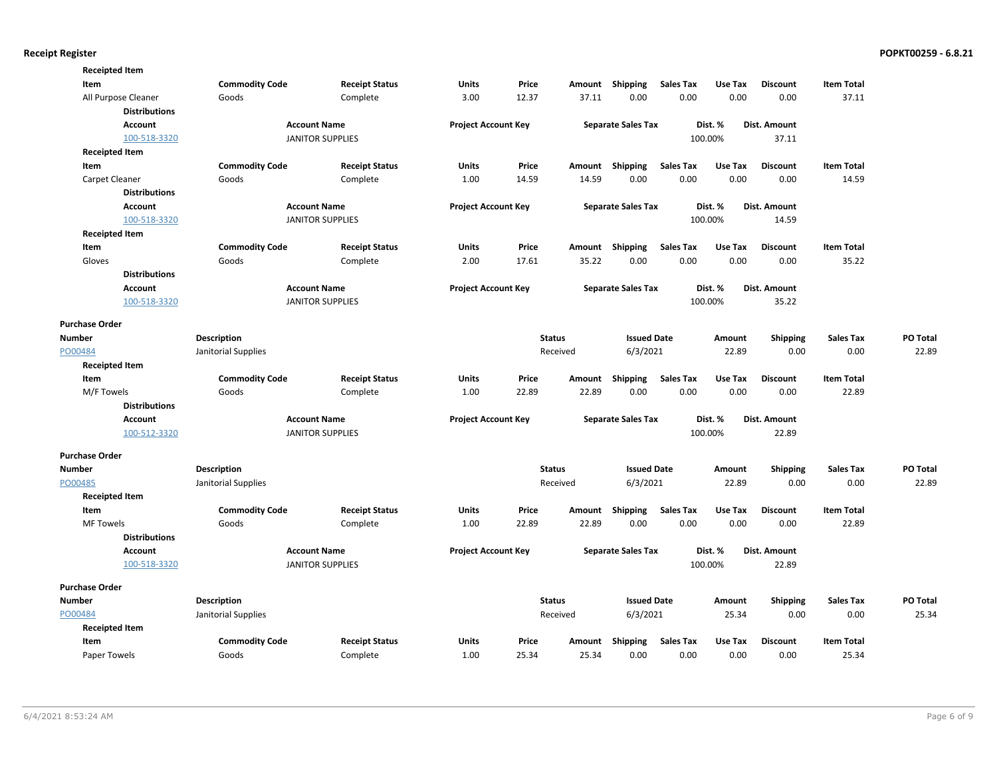| <b>Receipted Item</b> |                       |                         |                            |       |               |                           |                  |         |                 |                   |          |
|-----------------------|-----------------------|-------------------------|----------------------------|-------|---------------|---------------------------|------------------|---------|-----------------|-------------------|----------|
| Item                  | <b>Commodity Code</b> | <b>Receipt Status</b>   | <b>Units</b>               | Price |               | Amount Shipping           | <b>Sales Tax</b> | Use Tax | <b>Discount</b> | <b>Item Total</b> |          |
| All Purpose Cleaner   | Goods                 | Complete                | 3.00                       | 12.37 | 37.11         | 0.00                      | 0.00             | 0.00    | 0.00            | 37.11             |          |
| <b>Distributions</b>  |                       |                         |                            |       |               |                           |                  |         |                 |                   |          |
| <b>Account</b>        |                       | <b>Account Name</b>     | <b>Project Account Key</b> |       |               | <b>Separate Sales Tax</b> |                  | Dist. % | Dist. Amount    |                   |          |
| 100-518-3320          |                       | <b>JANITOR SUPPLIES</b> |                            |       |               |                           |                  | 100.00% | 37.11           |                   |          |
| <b>Receipted Item</b> |                       |                         |                            |       |               |                           |                  |         |                 |                   |          |
| Item                  | <b>Commodity Code</b> | <b>Receipt Status</b>   | Units                      | Price |               | Amount Shipping           | <b>Sales Tax</b> | Use Tax | <b>Discount</b> | <b>Item Total</b> |          |
| Carpet Cleaner        | Goods                 | Complete                | 1.00                       | 14.59 | 14.59         | 0.00                      | 0.00             | 0.00    | 0.00            | 14.59             |          |
| <b>Distributions</b>  |                       |                         |                            |       |               |                           |                  |         |                 |                   |          |
| <b>Account</b>        |                       | <b>Account Name</b>     | <b>Project Account Key</b> |       |               | <b>Separate Sales Tax</b> |                  | Dist. % | Dist. Amount    |                   |          |
| 100-518-3320          |                       | <b>JANITOR SUPPLIES</b> |                            |       |               |                           |                  | 100.00% | 14.59           |                   |          |
| <b>Receipted Item</b> |                       |                         |                            |       |               |                           |                  |         |                 |                   |          |
| Item                  | <b>Commodity Code</b> | <b>Receipt Status</b>   | Units                      | Price | Amount        | Shipping                  | <b>Sales Tax</b> | Use Tax | <b>Discount</b> | <b>Item Total</b> |          |
| Gloves                | Goods                 | Complete                | 2.00                       | 17.61 | 35.22         | 0.00                      | 0.00             | 0.00    | 0.00            | 35.22             |          |
| <b>Distributions</b>  |                       |                         |                            |       |               |                           |                  |         |                 |                   |          |
| <b>Account</b>        |                       | <b>Account Name</b>     | <b>Project Account Key</b> |       |               | <b>Separate Sales Tax</b> |                  | Dist. % | Dist. Amount    |                   |          |
| 100-518-3320          |                       | <b>JANITOR SUPPLIES</b> |                            |       |               |                           |                  | 100.00% | 35.22           |                   |          |
|                       |                       |                         |                            |       |               |                           |                  |         |                 |                   |          |
| <b>Purchase Order</b> |                       |                         |                            |       |               |                           |                  |         |                 |                   |          |
| <b>Number</b>         | <b>Description</b>    |                         |                            |       | <b>Status</b> | <b>Issued Date</b>        |                  | Amount  | <b>Shipping</b> | <b>Sales Tax</b>  | PO Total |
| PO00484               | Janitorial Supplies   |                         |                            |       | Received      | 6/3/2021                  |                  | 22.89   | 0.00            | 0.00              | 22.89    |
| <b>Receipted Item</b> |                       |                         |                            |       |               |                           |                  |         |                 |                   |          |
| Item                  | <b>Commodity Code</b> | <b>Receipt Status</b>   | Units                      | Price |               | Amount Shipping           | <b>Sales Tax</b> | Use Tax | <b>Discount</b> | <b>Item Total</b> |          |
| M/F Towels            | Goods                 | Complete                | 1.00                       | 22.89 | 22.89         | 0.00                      | 0.00             | 0.00    | 0.00            | 22.89             |          |
| <b>Distributions</b>  |                       |                         |                            |       |               |                           |                  |         |                 |                   |          |
| <b>Account</b>        |                       | <b>Account Name</b>     | <b>Project Account Key</b> |       |               | <b>Separate Sales Tax</b> |                  | Dist. % | Dist. Amount    |                   |          |
| 100-512-3320          |                       | <b>JANITOR SUPPLIES</b> |                            |       |               |                           |                  | 100.00% | 22.89           |                   |          |
| <b>Purchase Order</b> |                       |                         |                            |       |               |                           |                  |         |                 |                   |          |
| <b>Number</b>         | <b>Description</b>    |                         |                            |       | <b>Status</b> | <b>Issued Date</b>        |                  | Amount  | <b>Shipping</b> | <b>Sales Tax</b>  | PO Total |
| PO00485               | Janitorial Supplies   |                         |                            |       | Received      | 6/3/2021                  |                  | 22.89   | 0.00            | 0.00              | 22.89    |
| <b>Receipted Item</b> |                       |                         |                            |       |               |                           |                  |         |                 |                   |          |
| Item                  | <b>Commodity Code</b> | <b>Receipt Status</b>   | Units                      | Price | Amount        | Shipping                  | <b>Sales Tax</b> | Use Tax | <b>Discount</b> | <b>Item Total</b> |          |
| <b>MF Towels</b>      | Goods                 | Complete                | 1.00                       | 22.89 | 22.89         | 0.00                      | 0.00             | 0.00    | 0.00            | 22.89             |          |
| <b>Distributions</b>  |                       |                         |                            |       |               |                           |                  |         |                 |                   |          |
| Account               |                       | <b>Account Name</b>     | <b>Project Account Key</b> |       |               | <b>Separate Sales Tax</b> |                  | Dist. % | Dist. Amount    |                   |          |
| 100-518-3320          |                       | <b>JANITOR SUPPLIES</b> |                            |       |               |                           |                  | 100.00% | 22.89           |                   |          |
|                       |                       |                         |                            |       |               |                           |                  |         |                 |                   |          |
| <b>Purchase Order</b> |                       |                         |                            |       |               |                           |                  |         |                 |                   |          |
| <b>Number</b>         | <b>Description</b>    |                         |                            |       | <b>Status</b> | <b>Issued Date</b>        |                  | Amount  | <b>Shipping</b> | <b>Sales Tax</b>  | PO Total |
| PO00484               | Janitorial Supplies   |                         |                            |       | Received      | 6/3/2021                  |                  | 25.34   | 0.00            | 0.00              | 25.34    |
| <b>Receipted Item</b> |                       |                         |                            |       |               |                           |                  |         |                 |                   |          |
| Item                  | <b>Commodity Code</b> | <b>Receipt Status</b>   | Units                      | Price | Amount        | <b>Shipping</b>           | <b>Sales Tax</b> | Use Tax | <b>Discount</b> | <b>Item Total</b> |          |
| Paper Towels          | Goods                 | Complete                | 1.00                       | 25.34 | 25.34         | 0.00                      | 0.00             | 0.00    | 0.00            | 25.34             |          |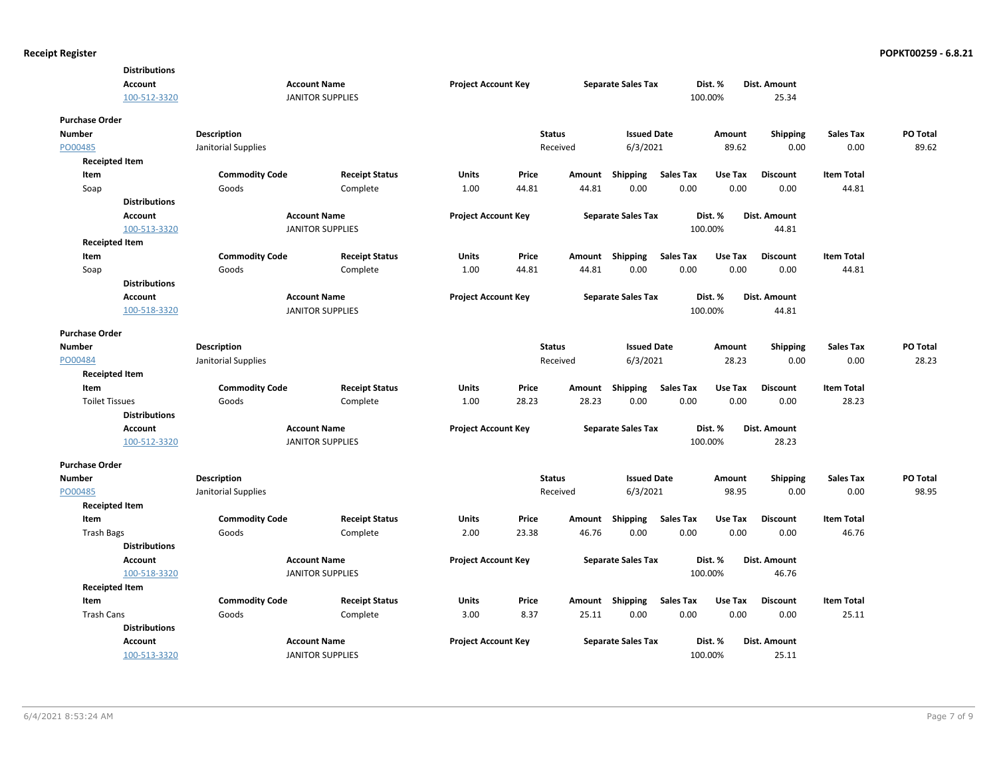|                       | <b>Distributions</b> |                       |                         |                            |       |               |                           |                  |         |                 |                   |          |
|-----------------------|----------------------|-----------------------|-------------------------|----------------------------|-------|---------------|---------------------------|------------------|---------|-----------------|-------------------|----------|
|                       | Account              |                       | <b>Account Name</b>     | <b>Project Account Key</b> |       |               | <b>Separate Sales Tax</b> |                  | Dist. % | Dist. Amount    |                   |          |
|                       | 100-512-3320         |                       | <b>JANITOR SUPPLIES</b> |                            |       |               |                           |                  | 100.00% | 25.34           |                   |          |
| <b>Purchase Order</b> |                      |                       |                         |                            |       |               |                           |                  |         |                 |                   |          |
| <b>Number</b>         |                      | Description           |                         |                            |       | <b>Status</b> | <b>Issued Date</b>        |                  | Amount  | <b>Shipping</b> | <b>Sales Tax</b>  | PO Total |
| PO00485               |                      | Janitorial Supplies   |                         |                            |       | Received      | 6/3/2021                  |                  | 89.62   | 0.00            | 0.00              | 89.62    |
| <b>Receipted Item</b> |                      |                       |                         |                            |       |               |                           |                  |         |                 |                   |          |
| Item                  |                      | <b>Commodity Code</b> | <b>Receipt Status</b>   | Units                      | Price |               | Amount Shipping           | <b>Sales Tax</b> | Use Tax | <b>Discount</b> | <b>Item Total</b> |          |
| Soap                  |                      | Goods                 | Complete                | 1.00                       | 44.81 | 44.81         | 0.00                      | 0.00             | 0.00    | 0.00            | 44.81             |          |
|                       | <b>Distributions</b> |                       |                         |                            |       |               |                           |                  |         |                 |                   |          |
|                       | <b>Account</b>       |                       | <b>Account Name</b>     | <b>Project Account Key</b> |       |               | <b>Separate Sales Tax</b> |                  | Dist. % | Dist. Amount    |                   |          |
|                       | 100-513-3320         |                       | <b>JANITOR SUPPLIES</b> |                            |       |               |                           |                  | 100.00% | 44.81           |                   |          |
| <b>Receipted Item</b> |                      |                       |                         |                            |       |               |                           |                  |         |                 |                   |          |
| Item                  |                      | <b>Commodity Code</b> | <b>Receipt Status</b>   | Units                      | Price |               | Amount Shipping           | <b>Sales Tax</b> | Use Tax | <b>Discount</b> | <b>Item Total</b> |          |
| Soap                  |                      | Goods                 | Complete                | 1.00                       | 44.81 | 44.81         | 0.00                      | 0.00             | 0.00    | 0.00            | 44.81             |          |
|                       | <b>Distributions</b> |                       |                         |                            |       |               |                           |                  |         |                 |                   |          |
|                       | Account              |                       | <b>Account Name</b>     | <b>Project Account Key</b> |       |               | <b>Separate Sales Tax</b> |                  | Dist. % | Dist. Amount    |                   |          |
|                       | 100-518-3320         |                       | <b>JANITOR SUPPLIES</b> |                            |       |               |                           |                  | 100.00% | 44.81           |                   |          |
| <b>Purchase Order</b> |                      |                       |                         |                            |       |               |                           |                  |         |                 |                   |          |
| <b>Number</b>         |                      | <b>Description</b>    |                         |                            |       | <b>Status</b> | <b>Issued Date</b>        |                  | Amount  | Shipping        | <b>Sales Tax</b>  | PO Total |
| PO00484               |                      | Janitorial Supplies   |                         |                            |       | Received      | 6/3/2021                  |                  | 28.23   | 0.00            | 0.00              | 28.23    |
| <b>Receipted Item</b> |                      |                       |                         |                            |       |               |                           |                  |         |                 |                   |          |
| Item                  |                      | <b>Commodity Code</b> | <b>Receipt Status</b>   | Units                      | Price | Amount        | Shipping                  | <b>Sales Tax</b> | Use Tax | <b>Discount</b> | <b>Item Total</b> |          |
| <b>Toilet Tissues</b> |                      | Goods                 | Complete                | 1.00                       | 28.23 | 28.23         | 0.00                      | 0.00             | 0.00    | 0.00            | 28.23             |          |
|                       | <b>Distributions</b> |                       |                         |                            |       |               |                           |                  |         |                 |                   |          |
|                       | <b>Account</b>       |                       | <b>Account Name</b>     | <b>Project Account Key</b> |       |               | <b>Separate Sales Tax</b> |                  | Dist. % | Dist. Amount    |                   |          |
|                       | 100-512-3320         |                       | <b>JANITOR SUPPLIES</b> |                            |       |               |                           |                  | 100.00% | 28.23           |                   |          |
| <b>Purchase Order</b> |                      |                       |                         |                            |       |               |                           |                  |         |                 |                   |          |
| <b>Number</b>         |                      | <b>Description</b>    |                         |                            |       | <b>Status</b> | <b>Issued Date</b>        |                  | Amount  | <b>Shipping</b> | <b>Sales Tax</b>  | PO Total |
| PO00485               |                      | Janitorial Supplies   |                         |                            |       | Received      | 6/3/2021                  |                  | 98.95   | 0.00            | 0.00              | 98.95    |
| <b>Receipted Item</b> |                      |                       |                         |                            |       |               |                           |                  |         |                 |                   |          |
| Item                  |                      | <b>Commodity Code</b> | <b>Receipt Status</b>   | Units                      | Price |               | Amount Shipping           | <b>Sales Tax</b> | Use Tax | <b>Discount</b> | <b>Item Total</b> |          |
| <b>Trash Bags</b>     |                      | Goods                 | Complete                | 2.00                       | 23.38 | 46.76         | 0.00                      | 0.00             | 0.00    | 0.00            | 46.76             |          |
|                       | <b>Distributions</b> |                       |                         |                            |       |               |                           |                  |         |                 |                   |          |
|                       | <b>Account</b>       |                       | <b>Account Name</b>     | <b>Project Account Key</b> |       |               | <b>Separate Sales Tax</b> |                  | Dist. % | Dist. Amount    |                   |          |
|                       | 100-518-3320         |                       | <b>JANITOR SUPPLIES</b> |                            |       |               |                           |                  | 100.00% | 46.76           |                   |          |
| <b>Receipted Item</b> |                      |                       |                         |                            |       |               |                           |                  |         |                 |                   |          |
| Item                  |                      | <b>Commodity Code</b> | <b>Receipt Status</b>   | <b>Units</b>               | Price |               | Amount Shipping           | <b>Sales Tax</b> | Use Tax | <b>Discount</b> | <b>Item Total</b> |          |
| <b>Trash Cans</b>     |                      | Goods                 | Complete                | 3.00                       | 8.37  | 25.11         | 0.00                      | 0.00             | 0.00    | 0.00            | 25.11             |          |
|                       | <b>Distributions</b> |                       |                         |                            |       |               |                           |                  |         |                 |                   |          |
|                       | <b>Account</b>       |                       | <b>Account Name</b>     | <b>Project Account Key</b> |       |               | <b>Separate Sales Tax</b> |                  | Dist. % | Dist. Amount    |                   |          |
|                       | 100-513-3320         |                       | <b>JANITOR SUPPLIES</b> |                            |       |               |                           |                  | 100.00% | 25.11           |                   |          |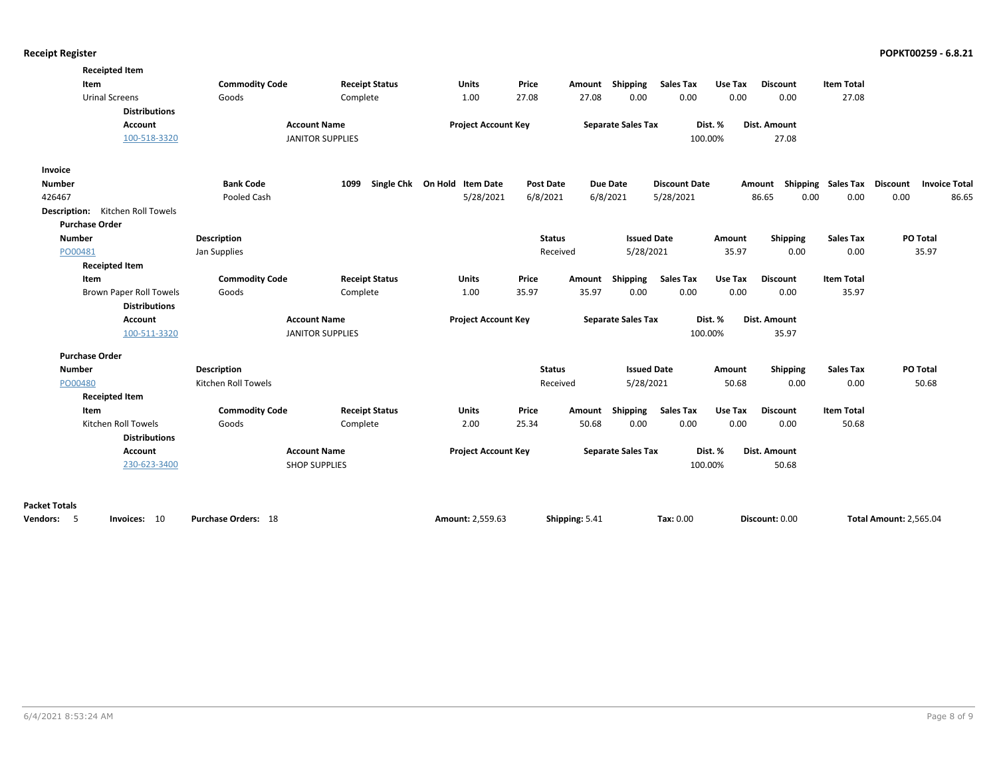| <b>Receipted Item</b>            |                            |                         |                              |                  |                |                           |                      |         |                     |                             |                               |                      |
|----------------------------------|----------------------------|-------------------------|------------------------------|------------------|----------------|---------------------------|----------------------|---------|---------------------|-----------------------------|-------------------------------|----------------------|
| Item                             | <b>Commodity Code</b>      | <b>Receipt Status</b>   | Units                        | Price            | Amount         | Shipping                  | <b>Sales Tax</b>     | Use Tax | <b>Discount</b>     | <b>Item Total</b>           |                               |                      |
| <b>Urinal Screens</b>            | Goods                      | Complete                | 1.00                         | 27.08            | 27.08          | 0.00                      | 0.00                 | 0.00    | 0.00                | 27.08                       |                               |                      |
| <b>Distributions</b>             |                            |                         |                              |                  |                |                           |                      |         |                     |                             |                               |                      |
| Account                          |                            | <b>Account Name</b>     | <b>Project Account Key</b>   |                  |                | <b>Separate Sales Tax</b> |                      | Dist. % | <b>Dist. Amount</b> |                             |                               |                      |
| 100-518-3320                     |                            | <b>JANITOR SUPPLIES</b> |                              |                  |                |                           |                      | 100.00% | 27.08               |                             |                               |                      |
| Invoice                          |                            |                         |                              |                  |                |                           |                      |         |                     |                             |                               |                      |
| <b>Number</b>                    | <b>Bank Code</b>           | 1099                    | Single Chk On Hold Item Date | <b>Post Date</b> |                | <b>Due Date</b>           | <b>Discount Date</b> |         | Amount              | Shipping Sales Tax Discount |                               | <b>Invoice Total</b> |
| 426467                           | Pooled Cash                |                         | 5/28/2021                    | 6/8/2021         |                | 6/8/2021                  | 5/28/2021            |         | 86.65               | 0.00<br>0.00                | 0.00                          | 86.65                |
| Description: Kitchen Roll Towels |                            |                         |                              |                  |                |                           |                      |         |                     |                             |                               |                      |
| <b>Purchase Order</b>            |                            |                         |                              |                  |                |                           |                      |         |                     |                             |                               |                      |
| <b>Number</b>                    | <b>Description</b>         |                         |                              | <b>Status</b>    |                | <b>Issued Date</b>        |                      | Amount  | Shipping            | <b>Sales Tax</b>            | PO Total                      |                      |
| PO00481                          | Jan Supplies               |                         |                              | Received         |                | 5/28/2021                 |                      | 35.97   | 0.00                | 0.00                        | 35.97                         |                      |
| <b>Receipted Item</b>            |                            |                         |                              |                  |                |                           |                      |         |                     |                             |                               |                      |
| Item                             | <b>Commodity Code</b>      | <b>Receipt Status</b>   | Units                        | Price            |                | Amount Shipping           | <b>Sales Tax</b>     | Use Tax | <b>Discount</b>     | <b>Item Total</b>           |                               |                      |
| <b>Brown Paper Roll Towels</b>   | Goods                      | Complete                | 1.00                         | 35.97            | 35.97          | 0.00                      | 0.00                 | 0.00    | 0.00                | 35.97                       |                               |                      |
| <b>Distributions</b>             |                            |                         |                              |                  |                |                           |                      |         |                     |                             |                               |                      |
| <b>Account</b>                   |                            | <b>Account Name</b>     | <b>Project Account Key</b>   |                  |                | <b>Separate Sales Tax</b> |                      | Dist. % | <b>Dist. Amount</b> |                             |                               |                      |
| 100-511-3320                     |                            | <b>JANITOR SUPPLIES</b> |                              |                  |                |                           |                      | 100.00% | 35.97               |                             |                               |                      |
| <b>Purchase Order</b>            |                            |                         |                              |                  |                |                           |                      |         |                     |                             |                               |                      |
| Number                           | <b>Description</b>         |                         |                              | <b>Status</b>    |                | <b>Issued Date</b>        |                      | Amount  | Shipping            | <b>Sales Tax</b>            | PO Total                      |                      |
| PO00480                          | Kitchen Roll Towels        |                         |                              | Received         |                | 5/28/2021                 |                      | 50.68   | 0.00                | 0.00                        | 50.68                         |                      |
| <b>Receipted Item</b>            |                            |                         |                              |                  |                |                           |                      |         |                     |                             |                               |                      |
| Item                             | <b>Commodity Code</b>      | <b>Receipt Status</b>   | <b>Units</b>                 | Price            | Amount         | Shipping                  | <b>Sales Tax</b>     | Use Tax | <b>Discount</b>     | <b>Item Total</b>           |                               |                      |
| Kitchen Roll Towels              | Goods                      | Complete                | 2.00                         | 25.34            | 50.68          | 0.00                      | 0.00                 | 0.00    | 0.00                | 50.68                       |                               |                      |
| <b>Distributions</b>             |                            |                         |                              |                  |                |                           |                      |         |                     |                             |                               |                      |
| <b>Account</b>                   |                            | <b>Account Name</b>     | <b>Project Account Key</b>   |                  |                | <b>Separate Sales Tax</b> |                      | Dist. % | <b>Dist. Amount</b> |                             |                               |                      |
| 230-623-3400                     |                            | <b>SHOP SUPPLIES</b>    |                              |                  |                |                           |                      | 100.00% | 50.68               |                             |                               |                      |
| <b>Packet Totals</b>             |                            |                         |                              |                  |                |                           |                      |         |                     |                             |                               |                      |
| -5<br>Vendors:<br>Invoices: 10   | <b>Purchase Orders: 18</b> |                         | Amount: 2.559.63             |                  | Shipping: 5.41 |                           | Tax: 0.00            |         | Discount: 0.00      |                             | <b>Total Amount: 2.565.04</b> |                      |